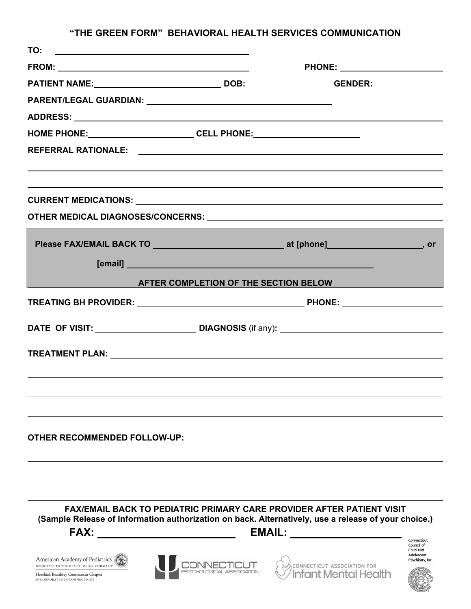## **"THE GREEN FORM" BEHAVIORAL HEALTH SERVICES COMMUNICATION**

| [email] <b>Example 2018 Contract 2018 Contract 2018 Contract 2018</b><br>AFTER COMPLETION OF THE SECTION BELOW AND THE REAL PROPERTY OF THE SECTION BELOW |                                                                                                                                                                                     |  |
|-----------------------------------------------------------------------------------------------------------------------------------------------------------|-------------------------------------------------------------------------------------------------------------------------------------------------------------------------------------|--|
|                                                                                                                                                           |                                                                                                                                                                                     |  |
|                                                                                                                                                           |                                                                                                                                                                                     |  |
|                                                                                                                                                           |                                                                                                                                                                                     |  |
|                                                                                                                                                           |                                                                                                                                                                                     |  |
|                                                                                                                                                           |                                                                                                                                                                                     |  |
|                                                                                                                                                           |                                                                                                                                                                                     |  |
|                                                                                                                                                           |                                                                                                                                                                                     |  |
|                                                                                                                                                           |                                                                                                                                                                                     |  |
|                                                                                                                                                           |                                                                                                                                                                                     |  |
|                                                                                                                                                           |                                                                                                                                                                                     |  |
|                                                                                                                                                           |                                                                                                                                                                                     |  |
| <b>OTHER RECOMMENDED FOLLOW-UP:</b> THE RECOMMENDED FOLLOW-UP:                                                                                            |                                                                                                                                                                                     |  |
|                                                                                                                                                           | <b>FAX/EMAIL BACK TO PEDIATRIC PRIMARY CARE PROVIDER AFTER PATIENT VISIT</b><br>(Sample Release of Information authorization on back. Alternatively, use a release of your choice.) |  |
|                                                                                                                                                           | <b>EMAIL:</b><br>Connecticut<br>Council of<br>Child and                                                                                                                             |  |
| American Academy of Pediatrics<br>DEDICATED TO THE HEALTH OF ALL CHILDREN®                                                                                | Adolescent<br>CONNECTICUT <sup>2</sup> CONNECTICUT ASSOCIATION FOR<br>Psychiatry, Inc.                                                                                              |  |

Hezekiah Beardsley Connecticut Chapter<br>INCORPORATED IN CONNECTICUT